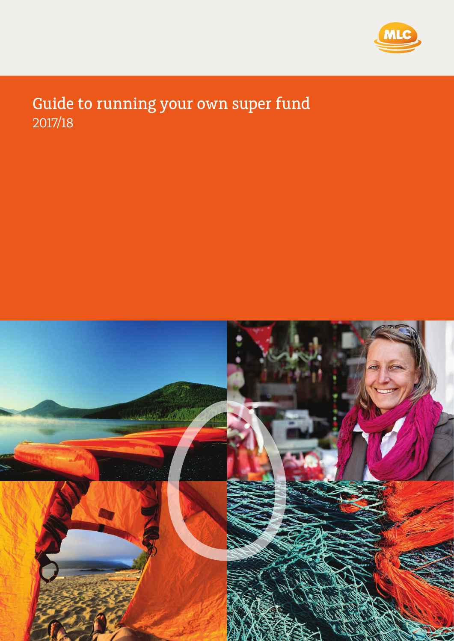

# Guide to running your own super fund 2017/18

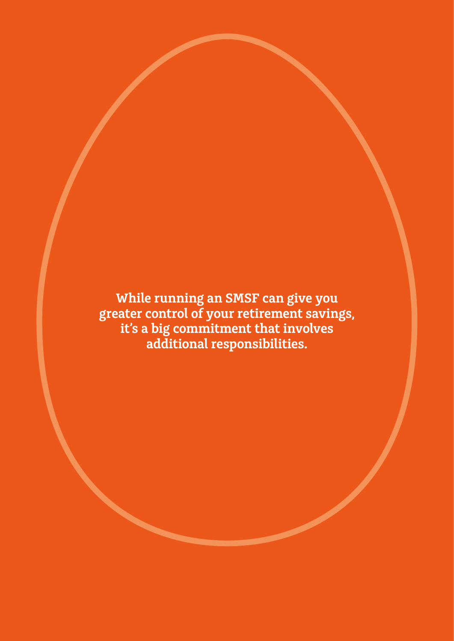**While running an SMSF can give you greater control of your retirement savings, it's a big commitment that involves additional responsibilities.**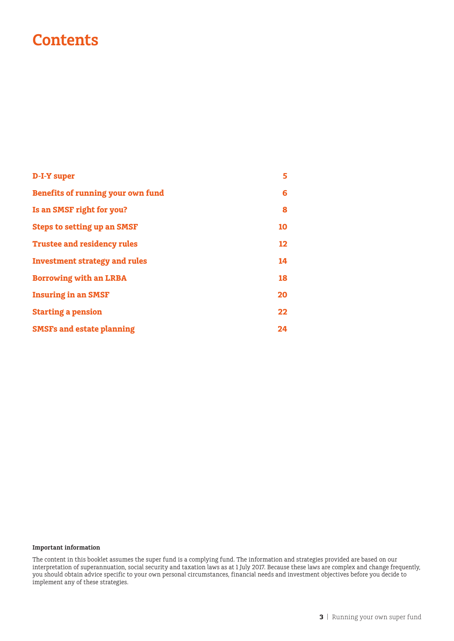# **Contents**

| <b>D-I-Y super</b>                   | 5  |
|--------------------------------------|----|
| Benefits of running your own fund    | 6  |
| Is an SMSF right for you?            | 8  |
| <b>Steps to setting up an SMSF</b>   | 10 |
| <b>Trustee and residency rules</b>   | 12 |
| <b>Investment strategy and rules</b> | 14 |
| <b>Borrowing with an LRBA</b>        | 18 |
| <b>Insuring in an SMSF</b>           | 20 |
| <b>Starting a pension</b>            | 22 |
| <b>SMSFs and estate planning</b>     | 24 |

#### **Important information**

The content in this booklet assumes the super fund is a complying fund. The information and strategies provided are based on our interpretation of superannuation, social security and taxation laws as at 1 July 2017. Because these laws are complex and change frequently, you should obtain advice specific to your own personal circumstances, financial needs and investment objectives before you decide to implement any of these strategies.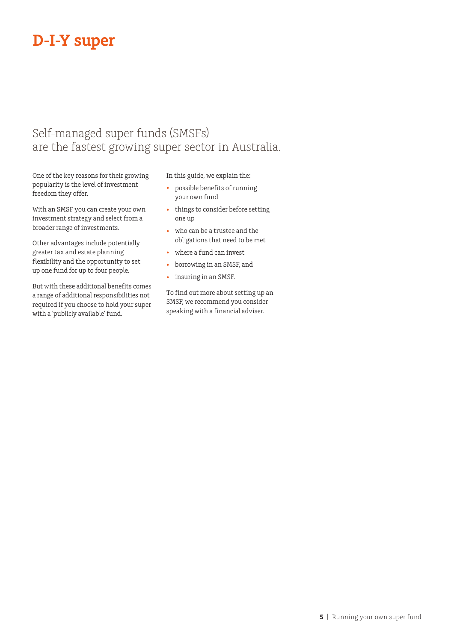# **D-I-Y super**

# Self-managed super funds (SMSFs) are the fastest growing super sector in Australia.

One of the key reasons for their growing popularity is the level of investment freedom they offer.

With an SMSF you can create your own investment strategy and select from a broader range of investments.

Other advantages include potentially greater tax and estate planning flexibility and the opportunity to set up one fund for up to four people.

But with these additional benefits comes a range of additional responsibilities not required if you choose to hold your super with a 'publicly available' fund.

In this guide, we explain the:

- possible benefits of running your own fund
- things to consider before setting one up
- who can be a trustee and the obligations that need to be met
- where a fund can invest
- borrowing in an SMSF, and
- insuring in an SMSF.

To find out more about setting up an SMSF, we recommend you consider speaking with a financial adviser.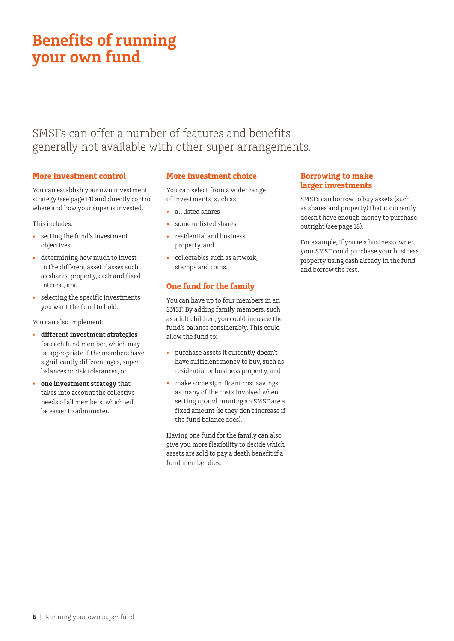# **Benefits of running your own fund**

# SMSFs can offer a number of features and benefits generally not available with other super arrangements.

### **More investment control**

You can establish your own investment strategy (see page 14) and directly control where and how your super is invested.

This includes:

- setting the fund's investment objectives
- determining how much to invest in the different asset classes such as shares, property, cash and fixed interest, and
- selecting the specific investments you want the fund to hold.

You can also implement:

- **different investment strategies** for each fund member, which may be appropriate if the members have significantly different ages, super balances or risk tolerances, or
- **one investment strategy** that takes into account the collective needs of all members, which will be easier to administer.

# **More investment choice**

You can select from a wider range of investments, such as:

- all listed shares
- some unlisted shares
- residential and business property, and
- collectables such as artwork, stamps and coins.

# **One fund for the family**

You can have up to four members in an SMSF. By adding family members, such as adult children, you could increase the fund's balance considerably. This could allow the fund to:

- purchase assets it currently doesn't have sufficient money to buy, such as residential or business property, and
- make some significant cost savings, as many of the costs involved when setting up and running an SMSF are a fixed amount (ie they don't increase if the fund balance does).

Having one fund for the family can also give you more flexibility to decide which assets are sold to pay a death benefit if a fund member dies.

# **Borrowing to make larger investments**

SMSFs can borrow to buy assets (such as shares and property) that it currently doesn't have enough money to purchase outright (see page 18).

For example, if you're a business owner, your SMSF could purchase your business property using cash already in the fund and borrow the rest.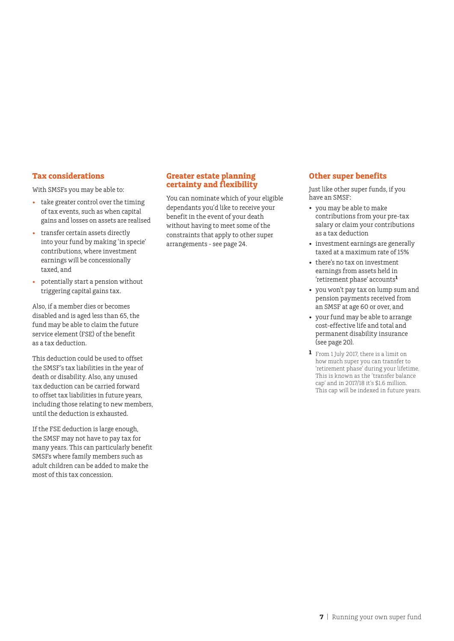#### **Tax considerations**

With SMSFs you may be able to:

- take greater control over the timing of tax events, such as when capital gains and losses on assets are realised
- transfer certain assets directly into your fund by making 'in specie' contributions, where investment earnings will be concessionally taxed, and
- potentially start a pension without triggering capital gains tax.

Also, if a member dies or becomes disabled and is aged less than 65, the fund may be able to claim the future service element (FSE) of the benefit as a tax deduction.

This deduction could be used to offset the SMSF's tax liabilities in the year of death or disability. Also, any unused tax deduction can be carried forward to offset tax liabilities in future years, including those relating to new members, until the deduction is exhausted.

If the FSE deduction is large enough, the SMSF may not have to pay tax for many years. This can particularly benefit SMSFs where family members such as adult children can be added to make the most of this tax concession.

## **Greater estate planning certainty and flexibility**

You can nominate which of your eligible dependants you'd like to receive your benefit in the event of your death without having to meet some of the constraints that apply to other super arrangements - see page 24.

#### **Other super benefits**

Just like other super funds, if you have an SMSF:

- you may be able to make contributions from your pre-tax salary or claim your contributions as a tax deduction
- investment earnings are generally taxed at a maximum rate of 15%
- there's no tax on investment earnings from assets held in 'retirement phase' accounts**<sup>1</sup>**
- you won't pay tax on lump sum and pension payments received from an SMSF at age 60 or over, and
- your fund may be able to arrange cost-effective life and total and permanent disability insurance (see page 20).
- **1** From 1 July 2017, there is a limit on how much super you can transfer to 'retirement phase' during your lifetime. This is known as the 'transfer balance cap' and in 2017/18 it's \$1.6 million. This cap will be indexed in future years.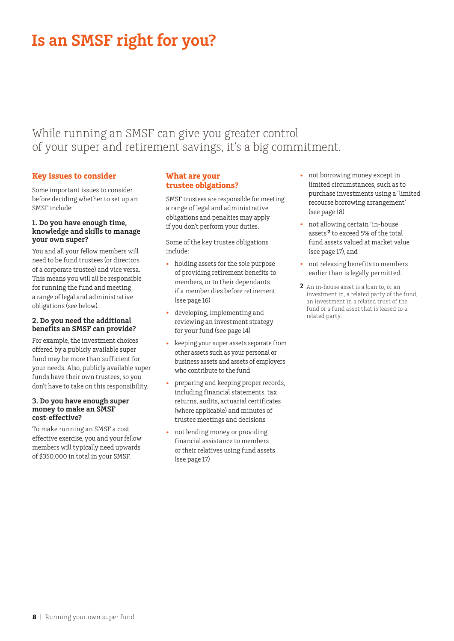# **Is an SMSF right for you?**

# While running an SMSF can give you greater control of your super and retirement savings, it's a big commitment.

### **Key issues to consider**

Some important issues to consider before deciding whether to set up an SMSF include:

#### **1. Do you have enough time, knowledge and skills to manage your own super?**

You and all your fellow members will need to be fund trustees (or directors of a corporate trustee) and vice versa. This means you will all be responsible for running the fund and meeting a range of legal and administrative obligations (see below).

#### **2. Do you need the additional benefits an SMSF can provide?**

For example, the investment choices offered by a publicly available super fund may be more than sufficient for your needs. Also, publicly available super funds have their own trustees, so you don't have to take on this responsibility.

#### **3. Do you have enough super money to make an SMSF cost-effective?**

To make running an SMSF a cost effective exercise, you and your fellow members will typically need upwards of \$350,000 in total in your SMSF.

# **What are your trustee oblgations?**

SMSF trustees are responsible for meeting a range of legal and administrative obligations and penalties may apply if you don't perform your duties.

Some of the key trustee obligations include:

- holding assets for the sole purpose of providing retirement benefits to members, or to their dependants if a member dies before retirement (see page 16)
- developing, implementing and reviewing an investment strategy for your fund (see page 14)
- keeping your super assets separate from other assets such as your personal or business assets and assets of employers who contribute to the fund
- preparing and keeping proper records, including financial statements, tax returns, audits, actuarial certificates (where applicable) and minutes of trustee meetings and decisions
- not lending money or providing financial assistance to members or their relatives using fund assets (see page 17)
- not borrowing money except in limited circumstances, such as to purchase investments using a 'limited recourse borrowing arrangement' (see page 18)
- not allowing certain 'in-house assets'**<sup>2</sup>** to exceed 5% of the total fund assets valued at market value (see page 17), and
- not releasing benefits to members earlier than is legally permitted.
- **2** An in-house asset is a loan to, or an investment in, a related party of the fund, an investment in a related trust of the fund or a fund asset that is leased to a related party.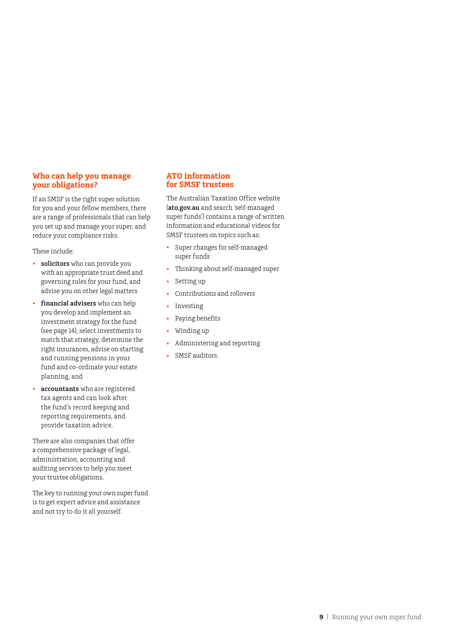## **Who can help you manage your obligations?**

If an SMSF is the right super solution for you and your fellow members, there are a range of professionals that can help you set up and manage your super, and reduce your compliance risks.

These include:

- **solicitors** who can provide you with an appropriate trust deed and governing rules for your fund, and advise you on other legal matters
- **financial advisers** who can help you develop and implement an investment strategy for the fund (see page 14), select investments to match that strategy, determine the right insurances, advise on starting and running pensions in your fund and co-ordinate your estate planning, and
- **accountants** who are registered tax agents and can look after the fund's record keeping and reporting requirements, and provide taxation advice.

There are also companies that offer a comprehensive package of legal, administration, accounting and auditing services to help you meet your trustee obligations.

The key to running your own super fund is to get expert advice and assistance and not try to do it all yourself.

#### **ATO information for SMSF trustees**

The Australian Taxation Office website (**ato.gov.au** and search 'self-managed super funds') contains a range of written information and educational videos for SMSF trustees on topics such as:

- Super changes for self-managed super funds
- Thinking about self-managed super
- Setting up
- Contributions and rollovers
- Investing
- Paying benefits
- Winding up
- Administering and reporting
- SMSF auditors.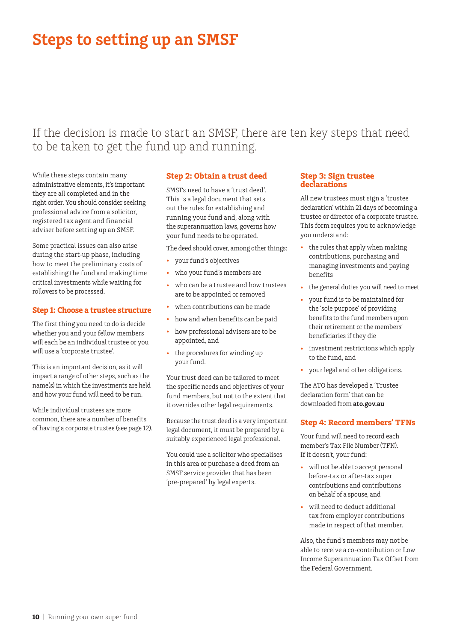# **Steps to setting up an SMSF**

If the decision is made to start an SMSF, there are ten key steps that need to be taken to get the fund up and running.

While these steps contain many administrative elements, it's important they are all completed and in the right order. You should consider seeking professional advice from a solicitor, registered tax agent and financial adviser before setting up an SMSF.

Some practical issues can also arise during the start-up phase, including how to meet the preliminary costs of establishing the fund and making time critical investments while waiting for rollovers to be processed.

#### **Step 1: Choose a trustee structure**

The first thing you need to do is decide whether you and your fellow members will each be an individual trustee or you will use a 'corporate trustee'.

This is an important decision, as it will impact a range of other steps, such as the name(s) in which the investments are held and how your fund will need to be run.

While individual trustees are more common, there are a number of benefits of having a corporate trustee (see page 12).

#### **Step 2: Obtain a trust deed**

SMSFs need to have a 'trust deed'. This is a legal document that sets out the rules for establishing and running your fund and, along with the superannuation laws, governs how your fund needs to be operated.

The deed should cover, among other things:

- your fund's objectives
- who your fund's members are
- who can be a trustee and how trustees are to be appointed or removed
- when contributions can be made
- how and when benefits can be paid
- how professional advisers are to be appointed, and
- the procedures for winding up your fund.

Your trust deed can be tailored to meet the specific needs and objectives of your fund members, but not to the extent that it overrides other legal requirements.

Because the trust deed is a very important legal document, it must be prepared by a suitably experienced legal professional.

You could use a solicitor who specialises in this area or purchase a deed from an SMSF service provider that has been 'pre-prepared' by legal experts.

#### **Step 3: Sign trustee declarations**

All new trustees must sign a 'trustee declaration' within 21 days of becoming a trustee or director of a corporate trustee. This form requires you to acknowledge you understand:

- the rules that apply when making contributions, purchasing and managing investments and paying benefits
- the general duties you will need to meet
- your fund is to be maintained for the 'sole purpose' of providing benefits to the fund members upon their retirement or the members' beneficiaries if they die
- investment restrictions which apply to the fund, and
- your legal and other obligations.

The ATO has developed a 'Trustee declaration form' that can be downloaded from **ato.gov.au**

#### **Step 4: Record members' TFNs**

Your fund will need to record each member's Tax File Number (TFN). If it doesn't, your fund:

- will not be able to accept personal before-tax or after-tax super contributions and contributions on behalf of a spouse, and
- will need to deduct additional tax from employer contributions made in respect of that member.

Also, the fund's members may not be able to receive a co-contribution or Low Income Superannuation Tax Offset from the Federal Government.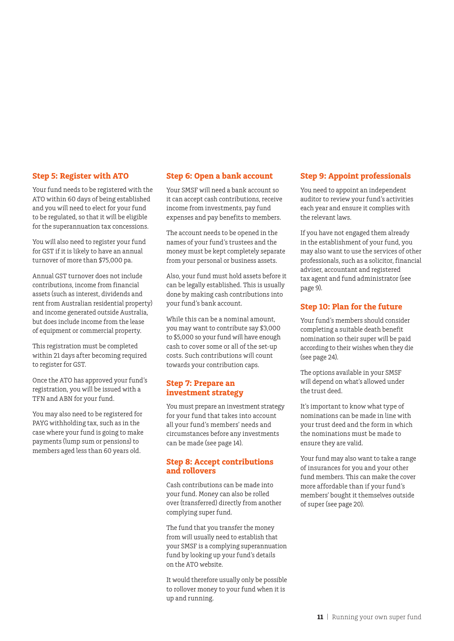#### **Step 5: Register with ATO**

Your fund needs to be registered with the ATO within 60 days of being established and you will need to elect for your fund to be regulated, so that it will be eligible for the superannuation tax concessions.

You will also need to register your fund for GST if it is likely to have an annual turnover of more than \$75,000 pa.

Annual GST turnover does not include contributions, income from financial assets (such as interest, dividends and rent from Australian residential property) and income generated outside Australia, but does include income from the lease of equipment or commercial property.

This registration must be completed within 21 days after becoming required to register for GST.

Once the ATO has approved your fund's registration, you will be issued with a TFN and ABN for your fund.

You may also need to be registered for PAYG withholding tax, such as in the case where your fund is going to make payments (lump sum or pensions) to members aged less than 60 years old.

#### **Step 6: Open a bank account**

Your SMSF will need a bank account so it can accept cash contributions, receive income from investments, pay fund expenses and pay benefits to members.

The account needs to be opened in the names of your fund's trustees and the money must be kept completely separate from your personal or business assets.

Also, your fund must hold assets before it can be legally established. This is usually done by making cash contributions into your fund's bank account.

While this can be a nominal amount, you may want to contribute say \$3,000 to \$5,000 so your fund will have enough cash to cover some or all of the set-up costs. Such contributions will count towards your contribution caps.

#### **Step 7: Prepare an investment strategy**

You must prepare an investment strategy for your fund that takes into account all your fund's members' needs and circumstances before any investments can be made (see page 14).

#### **Step 8: Accept contributions and rollovers**

Cash contributions can be made into your fund. Money can also be rolled over (transferred) directly from another complying super fund.

The fund that you transfer the money from will usually need to establish that your SMSF is a complying superannuation fund by looking up your fund's details on the ATO website.

It would therefore usually only be possible to rollover money to your fund when it is up and running.

#### **Step 9: Appoint professionals**

You need to appoint an independent auditor to review your fund's activities each year and ensure it complies with the relevant laws.

If you have not engaged them already in the establishment of your fund, you may also want to use the services of other professionals, such as a solicitor, financial adviser, accountant and registered tax agent and fund administrator (see page 9).

## **Step 10: Plan for the future**

Your fund's members should consider completing a suitable death benefit nomination so their super will be paid according to their wishes when they die (see page 24).

The options available in your SMSF will depend on what's allowed under the trust deed.

It's important to know what type of nominations can be made in line with your trust deed and the form in which the nominations must be made to ensure they are valid.

Your fund may also want to take a range of insurances for you and your other fund members. This can make the cover more affordable than if your fund's members' bought it themselves outside of super (see page 20).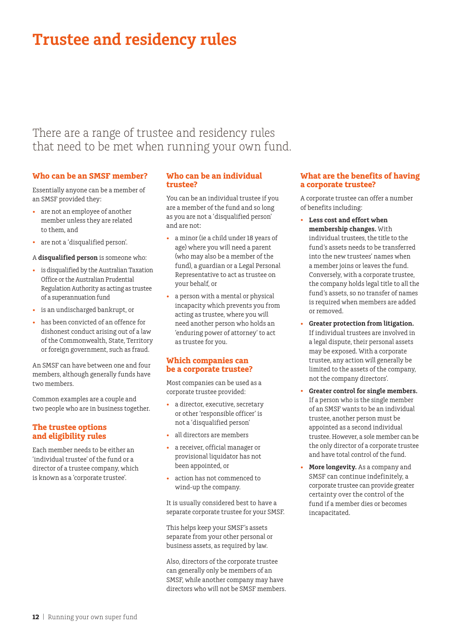# **Trustee and residency rules**

# There are a range of trustee and residency rules that need to be met when running your own fund.

### **Who can be an SMSF member?**

Essentially anyone can be a member of an SMSF provided they:

- are not an employee of another member unless they are related to them, and
- are not a 'disqualified person'.

#### A **disqualified person** is someone who:

- is disqualified by the Australian Taxation Office or the Australian Prudential Regulation Authority as acting as trustee of a superannuation fund
- is an undischarged bankrupt, or
- has been convicted of an offence for dishonest conduct arising out of a law of the Commonwealth, State, Territory or foreign government, such as fraud.

An SMSF can have between one and four members, although generally funds have two members.

Common examples are a couple and two people who are in business together.

### **The trustee options and eligibility rules**

Each member needs to be either an 'individual trustee' of the fund or a director of a trustee company, which is known as a 'corporate trustee'.

#### **Who can be an individual trustee?**

You can be an individual trustee if you are a member of the fund and so long as you are not a 'disqualified person' and are not:

- a minor (ie a child under 18 years of age) where you will need a parent (who may also be a member of the fund), a guardian or a Legal Personal Representative to act as trustee on your behalf, or
- a person with a mental or physical incapacity which prevents you from acting as trustee, where you will need another person who holds an 'enduring power of attorney' to act as trustee for you.

#### **Which companies can be a corporate trustee?**

Most companies can be used as a corporate trustee provided:

- a director, executive, secretary or other 'responsible officer' is not a 'disqualified person'
- all directors are members
- a receiver, official manager or provisional liquidator has not been appointed, or
- action has not commenced to wind-up the company.

It is usually considered best to have a separate corporate trustee for your SMSF.

This helps keep your SMSF's assets separate from your other personal or business assets, as required by law.

Also, directors of the corporate trustee can generally only be members of an SMSF, while another company may have directors who will not be SMSF members.

#### **What are the benefits of having a corporate trustee?**

A corporate trustee can offer a number of benefits including:

- **Less cost and effort when membership changes.** With individual trustees, the title to the fund's assets needs to be transferred into the new trustees' names when a member joins or leaves the fund. Conversely, with a corporate trustee, the company holds legal title to all the fund's assets, so no transfer of names is required when members are added or removed.
- **Greater protection from litigation.** If individual trustees are involved in a legal dispute, their personal assets may be exposed. With a corporate trustee, any action will generally be limited to the assets of the company, not the company directors'.
- **Greater control for single members.**  If a person who is the single member of an SMSF wants to be an individual trustee, another person must be appointed as a second individual trustee. However, a sole member can be the only director of a corporate trustee and have total control of the fund.
- **More longevity.** As a company and SMSF can continue indefinitely, a corporate trustee can provide greater certainty over the control of the fund if a member dies or becomes incapacitated.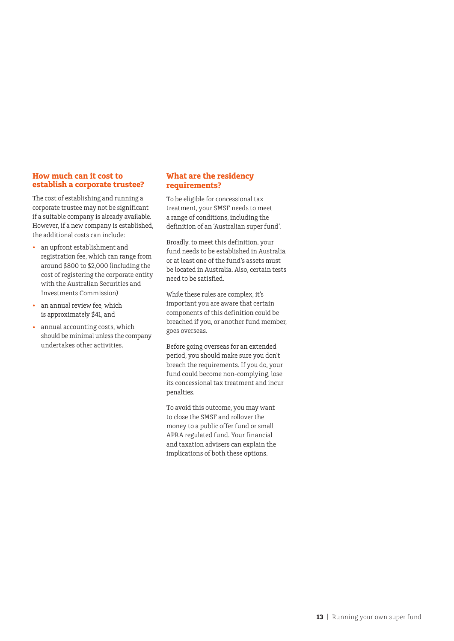#### **How much can it cost to establish a corporate trustee?**

The cost of establishing and running a corporate trustee may not be significant if a suitable company is already available. However, if a new company is established, the additional costs can include:

- an upfront establishment and registration fee, which can range from around \$800 to \$2,000 (including the cost of registering the corporate entity with the Australian Securities and Investments Commission)
- an annual review fee, which is approximately \$41, and
- annual accounting costs, which should be minimal unless the company undertakes other activities.

# **What are the residency requirements?**

To be eligible for concessional tax treatment, your SMSF needs to meet a range of conditions, including the definition of an 'Australian super fund'.

Broadly, to meet this definition, your fund needs to be established in Australia, or at least one of the fund's assets must be located in Australia. Also, certain tests need to be satisfied.

While these rules are complex, it's important you are aware that certain components of this definition could be breached if you, or another fund member, goes overseas.

Before going overseas for an extended period, you should make sure you don't breach the requirements. If you do, your fund could become non-complying, lose its concessional tax treatment and incur penalties.

To avoid this outcome, you may want to close the SMSF and rollover the money to a public offer fund or small APRA regulated fund. Your financial and taxation advisers can explain the implications of both these options.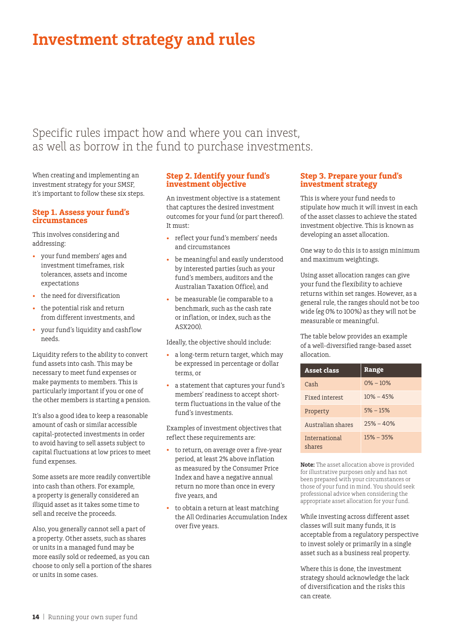# **Investment strategy and rules**

# Specific rules impact how and where you can invest, as well as borrow in the fund to purchase investments.

When creating and implementing an investment strategy for your SMSF, it's important to follow these six steps.

#### **Step 1. Assess your fund's circumstances**

This involves considering and addressing:

- your fund members' ages and investment timeframes, risk tolerances, assets and income expectations
- the need for diversification
- the potential risk and return from different investments, and
- your fund's liquidity and cashflow needs.

Liquidity refers to the ability to convert fund assets into cash. This may be necessary to meet fund expenses or make payments to members. This is particularly important if you or one of the other members is starting a pension.

It's also a good idea to keep a reasonable amount of cash or similar accessible capital-protected investments in order to avoid having to sell assets subject to capital fluctuations at low prices to meet fund expenses.

Some assets are more readily convertible into cash than others. For example, a property is generally considered an illiquid asset as it takes some time to sell and receive the proceeds.

Also, you generally cannot sell a part of a property. Other assets, such as shares or units in a managed fund may be more easily sold or redeemed, as you can choose to only sell a portion of the shares or units in some cases.

#### **Step 2. Identify your fund's investment objective**

An investment objective is a statement that captures the desired investment outcomes for your fund (or part thereof). It must:

- reflect your fund's members' needs and circumstances
- be meaningful and easily understood by interested parties (such as your fund's members, auditors and the Australian Taxation Office), and
- be measurable (ie comparable to a benchmark, such as the cash rate or inflation, or index, such as the ASX200).

Ideally, the objective should include:

- a long-term return target, which may be expressed in percentage or dollar terms, or
- a statement that captures your fund's members' readiness to accept shortterm fluctuations in the value of the fund's investments.

Examples of investment objectives that reflect these requirements are:

- to return, on average over a five-year period, at least 2% above inflation as measured by the Consumer Price Index and have a negative annual return no more than once in every five years, and
- to obtain a return at least matching the All Ordinaries Accumulation Index over five years.

#### **Step 3. Prepare your fund's investment strategy**

This is where your fund needs to stipulate how much it will invest in each of the asset classes to achieve the stated investment objective. This is known as developing an asset allocation.

One way to do this is to assign minimum and maximum weightings.

Using asset allocation ranges can give your fund the flexibility to achieve returns within set ranges. However, as a general rule, the ranges should not be too wide (eg 0% to 100%) as they will not be measurable or meaningful.

The table below provides an example of a well-diversified range-based asset allocation.

| <b>Asset class</b>             | Range         |
|--------------------------------|---------------|
| Cash                           | $0\% - 10\%$  |
| Fixed interest                 | $10\% - 45\%$ |
| Property                       | $5% - 15%$    |
| Australian shares              | $25\% - 40\%$ |
| <b>International</b><br>shares | $15% - 35%$   |

**Note:** The asset allocation above is provided for illustrative purposes only and has not been prepared with your circumstances or those of your fund in mind. You should seek professional advice when considering the appropriate asset allocation for your fund.

While investing across different asset classes will suit many funds, it is acceptable from a regulatory perspective to invest solely or primarily in a single asset such as a business real property.

Where this is done, the investment strategy should acknowledge the lack of diversification and the risks this can create.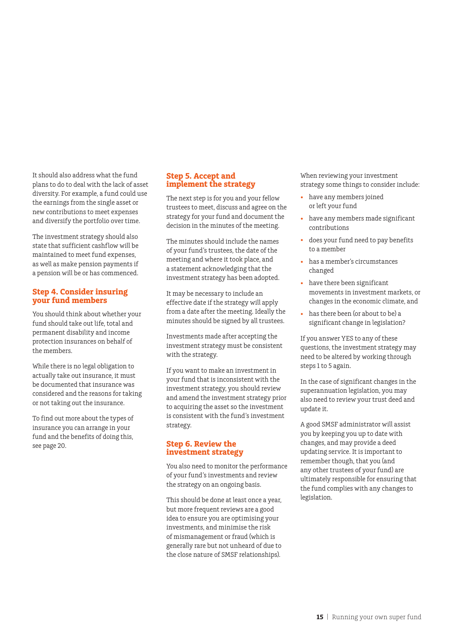It should also address what the fund plans to do to deal with the lack of asset diversity. For example, a fund could use the earnings from the single asset or new contributions to meet expenses and diversify the portfolio over time.

The investment strategy should also state that sufficient cashflow will be maintained to meet fund expenses, as well as make pension payments if a pension will be or has commenced.

#### **Step 4. Consider insuring your fund members**

You should think about whether your fund should take out life, total and permanent disability and income protection insurances on behalf of the members.

While there is no legal obligation to actually take out insurance, it must be documented that insurance was considered and the reasons for taking or not taking out the insurance.

To find out more about the types of insurance you can arrange in your fund and the benefits of doing this, see page 20.

### **Step 5. Accept and implement the strategy**

The next step is for you and your fellow trustees to meet, discuss and agree on the strategy for your fund and document the decision in the minutes of the meeting.

The minutes should include the names of your fund's trustees, the date of the meeting and where it took place, and a statement acknowledging that the investment strategy has been adopted.

It may be necessary to include an effective date if the strategy will apply from a date after the meeting. Ideally the minutes should be signed by all trustees.

Investments made after accepting the investment strategy must be consistent with the strategy.

If you want to make an investment in your fund that is inconsistent with the investment strategy, you should review and amend the investment strategy prior to acquiring the asset so the investment is consistent with the fund's investment strategy.

#### **Step 6. Review the investment strategy**

You also need to monitor the performance of your fund's investments and review the strategy on an ongoing basis.

This should be done at least once a year, but more frequent reviews are a good idea to ensure you are optimising your investments, and minimise the risk of mismanagement or fraud (which is generally rare but not unheard of due to the close nature of SMSF relationships).

When reviewing your investment strategy some things to consider include:

- have any members joined or left your fund
- have any members made significant contributions
- does your fund need to pay benefits to a member
- has a member's circumstances changed
- have there been significant movements in investment markets, or changes in the economic climate, and
- has there been (or about to be) a significant change in legislation?

If you answer YES to any of these questions, the investment strategy may need to be altered by working through steps 1 to 5 again.

In the case of significant changes in the superannuation legislation, you may also need to review your trust deed and update it.

A good SMSF administrator will assist you by keeping you up to date with changes, and may provide a deed updating service. It is important to remember though, that you (and any other trustees of your fund) are ultimately responsible for ensuring that the fund complies with any changes to legislation.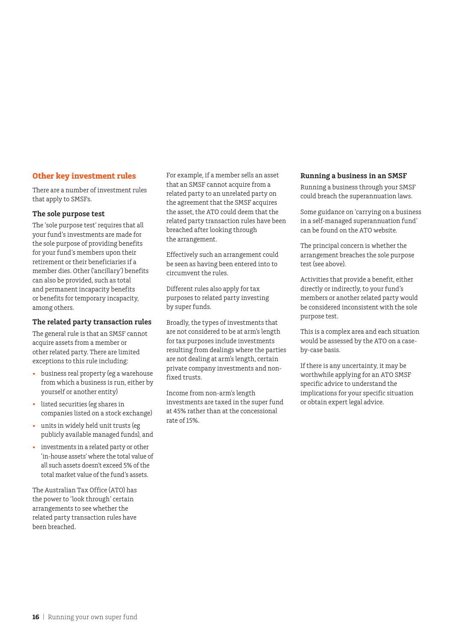### **Other key investment rules**

There are a number of investment rules that apply to SMSFs.

#### **The sole purpose test**

The 'sole purpose test' requires that all your fund's investments are made for the sole purpose of providing benefits for your fund's members upon their retirement or their beneficiaries if a member dies. Other ('ancillary') benefits can also be provided, such as total and permanent incapacity benefits or benefits for temporary incapacity, among others.

## **The related party transaction rules**

The general rule is that an SMSF cannot acquire assets from a member or other related party. There are limited exceptions to this rule including:

- business real property (eg a warehouse from which a business is run, either by yourself or another entity)
- listed securities (eg shares in companies listed on a stock exchange)
- units in widely held unit trusts (eg publicly available managed funds), and
- investments in a related party or other 'in-house assets' where the total value of all such assets doesn't exceed 5% of the total market value of the fund's assets.

The Australian Tax Office (ATO) has the power to 'look through' certain arrangements to see whether the related party transaction rules have been breached.

For example, if a member sells an asset that an SMSF cannot acquire from a related party to an unrelated party on the agreement that the SMSF acquires the asset, the ATO could deem that the related party transaction rules have been breached after looking through the arrangement.

Effectively such an arrangement could be seen as having been entered into to circumvent the rules.

Different rules also apply for tax purposes to related party investing by super funds.

Broadly, the types of investments that are not considered to be at arm's length for tax purposes include investments resulting from dealings where the parties are not dealing at arm's length, certain private company investments and nonfixed trusts.

Income from non-arm's length investments are taxed in the super fund at 45% rather than at the concessional rate of 15%.

### **Running a business in an SMSF**

Running a business through your SMSF could breach the superannuation laws.

Some guidance on 'carrying on a business in a self-managed superannuation fund' can be found on the ATO website.

The principal concern is whether the arrangement breaches the sole purpose test (see above).

Activities that provide a benefit, either directly or indirectly, to your fund's members or another related party would be considered inconsistent with the sole purpose test.

This is a complex area and each situation would be assessed by the ATO on a caseby-case basis.

If there is any uncertainty, it may be worthwhile applying for an ATO SMSF specific advice to understand the implications for your specific situation or obtain expert legal advice.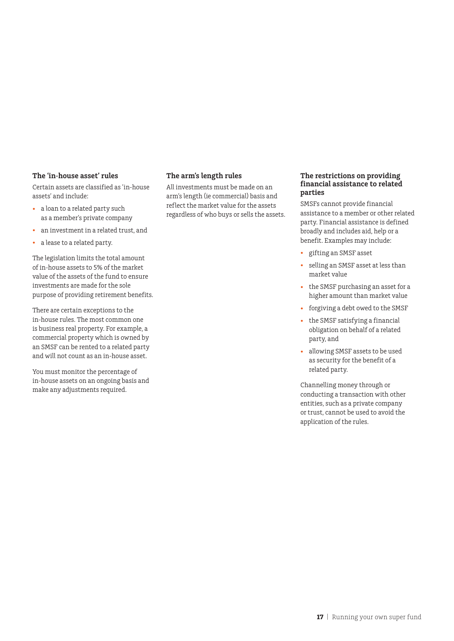#### **The 'in-house asset' rules**

Certain assets are classified as 'in-house assets' and include:

- a loan to a related party such as a member's private company
- an investment in a related trust, and
- a lease to a related party.

The legislation limits the total amount of in-house assets to 5% of the market value of the assets of the fund to ensure investments are made for the sole purpose of providing retirement benefits.

There are certain exceptions to the in-house rules. The most common one is business real property. For example, a commercial property which is owned by an SMSF can be rented to a related party and will not count as an in-house asset.

You must monitor the percentage of in-house assets on an ongoing basis and make any adjustments required.

#### **The arm's length rules**

All investments must be made on an arm's length (ie commercial) basis and reflect the market value for the assets regardless of who buys or sells the assets.

#### **The restrictions on providing financial assistance to related parties**

SMSFs cannot provide financial assistance to a member or other related party. Financial assistance is defined broadly and includes aid, help or a benefit. Examples may include:

- gifting an SMSF asset
- selling an SMSF asset at less than market value
- the SMSF purchasing an asset for a higher amount than market value
- forgiving a debt owed to the SMSF
- the SMSF satisfying a financial obligation on behalf of a related party, and
- allowing SMSF assets to be used as security for the benefit of a related party.

Channelling money through or conducting a transaction with other entities, such as a private company or trust, cannot be used to avoid the application of the rules.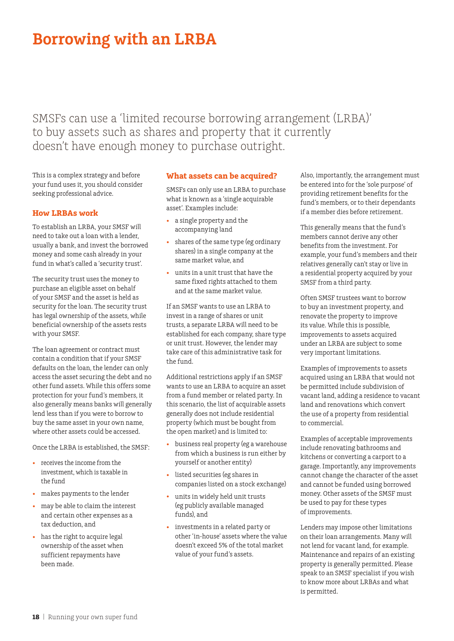# **Borrowing with an LRBA**

SMSFs can use a 'limited recourse borrowing arrangement (LRBA)' to buy assets such as shares and property that it currently doesn't have enough money to purchase outright.

This is a complex strategy and before your fund uses it, you should consider seeking professional advice.

# **How LRBAs work**

To establish an LRBA, your SMSF will need to take out a loan with a lender, usually a bank, and invest the borrowed money and some cash already in your fund in what's called a 'security trust'.

The security trust uses the money to purchase an eligible asset on behalf of your SMSF and the asset is held as security for the loan. The security trust has legal ownership of the assets, while beneficial ownership of the assets rests with your SMSF.

The loan agreement or contract must contain a condition that if your SMSF defaults on the loan, the lender can only access the asset securing the debt and no other fund assets. While this offers some protection for your fund's members, it also generally means banks will generally lend less than if you were to borrow to buy the same asset in your own name, where other assets could be accessed.

Once the LRBA is established, the SMSF:

- receives the income from the investment, which is taxable in the fund
- makes payments to the lender
- may be able to claim the interest and certain other expenses as a tax deduction, and
- has the right to acquire legal ownership of the asset when sufficient repayments have been made.

## **What assets can be acquired?**

SMSFs can only use an LRBA to purchase what is known as a 'single acquirable asset'. Examples include:

- a single property and the accompanying land
- shares of the same type (eg ordinary shares) in a single company at the same market value, and
- units in a unit trust that have the same fixed rights attached to them and at the same market value.

If an SMSF wants to use an LRBA to invest in a range of shares or unit trusts, a separate LRBA will need to be established for each company, share type or unit trust. However, the lender may take care of this administrative task for the fund.

Additional restrictions apply if an SMSF wants to use an LRBA to acquire an asset from a fund member or related party. In this scenario, the list of acquirable assets generally does not include residential property (which must be bought from the open market) and is limited to:

- business real property (eg a warehouse from which a business is run either by yourself or another entity)
- listed securities (eg shares in companies listed on a stock exchange)
- units in widely held unit trusts (eg publicly available managed funds), and
- investments in a related party or other 'in-house' assets where the value doesn't exceed 5% of the total market value of your fund's assets.

Also, importantly, the arrangement must be entered into for the 'sole purpose' of providing retirement benefits for the fund's members, or to their dependants if a member dies before retirement.

This generally means that the fund's members cannot derive any other benefits from the investment. For example, your fund's members and their relatives generally can't stay or live in a residential property acquired by your SMSF from a third party.

Often SMSF trustees want to borrow to buy an investment property, and renovate the property to improve its value. While this is possible, improvements to assets acquired under an LRBA are subject to some very important limitations.

Examples of improvements to assets acquired using an LRBA that would not be permitted include subdivision of vacant land, adding a residence to vacant land and renovations which convert the use of a property from residential to commercial.

Examples of acceptable improvements include renovating bathrooms and kitchens or converting a carport to a garage. Importantly, any improvements cannot change the character of the asset and cannot be funded using borrowed money. Other assets of the SMSF must be used to pay for these types of improvements.

Lenders may impose other limitations on their loan arrangements. Many will not lend for vacant land, for example. Maintenance and repairs of an existing property is generally permitted. Please speak to an SMSF specialist if you wish to know more about LRBAs and what is permitted.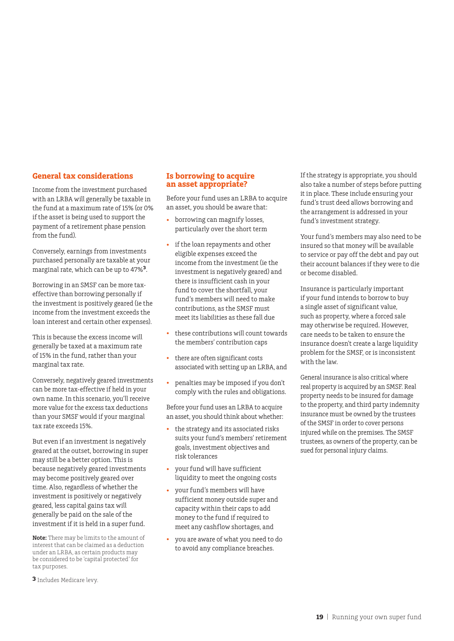#### **General tax considerations**

Income from the investment purchased with an LRBA will generally be taxable in the fund at a maximum rate of 15% (or 0% if the asset is being used to support the payment of a retirement phase pension from the fund).

Conversely, earnings from investments purchased personally are taxable at your marginal rate, which can be up to 47%**3**.

Borrowing in an SMSF can be more taxeffective than borrowing personally if the investment is positively geared (ie the income from the investment exceeds the loan interest and certain other expenses).

This is because the excess income will generally be taxed at a maximum rate of 15% in the fund, rather than your marginal tax rate.

Conversely, negatively geared investments can be more tax-effective if held in your own name. In this scenario, you'll receive more value for the excess tax deductions than your SMSF would if your marginal tax rate exceeds 15%.

But even if an investment is negatively geared at the outset, borrowing in super may still be a better option. This is because negatively geared investments may become positively geared over time. Also, regardless of whether the investment is positively or negatively geared, less capital gains tax will generally be paid on the sale of the investment if it is held in a super fund.

**Note:** There may be limits to the amount of interest that can be claimed as a deduction under an LRBA, as certain products may be considered to be 'capital protected' for tax purposes.

**3** Includes Medicare levy.

#### **Is borrowing to acquire an asset appropriate?**

Before your fund uses an LRBA to acquire an asset, you should be aware that:

- borrowing can magnify losses, particularly over the short term
- if the loan repayments and other eligible expenses exceed the income from the investment (ie the investment is negatively geared) and there is insufficient cash in your fund to cover the shortfall, your fund's members will need to make contributions, as the SMSF must meet its liabilities as these fall due
- these contributions will count towards the members' contribution caps
- there are often significant costs associated with setting up an LRBA, and
- penalties may be imposed if you don't comply with the rules and obligations.

Before your fund uses an LRBA to acquire an asset, you should think about whether:

- the strategy and its associated risks suits your fund's members' retirement goals, investment objectives and risk tolerances
- your fund will have sufficient liquidity to meet the ongoing costs
- your fund's members will have sufficient money outside super and capacity within their caps to add money to the fund if required to meet any cashflow shortages, and
- you are aware of what you need to do to avoid any compliance breaches.

If the strategy is appropriate, you should also take a number of steps before putting it in place. These include ensuring your fund's trust deed allows borrowing and the arrangement is addressed in your fund's investment strategy.

Your fund's members may also need to be insured so that money will be available to service or pay off the debt and pay out their account balances if they were to die or become disabled.

Insurance is particularly important if your fund intends to borrow to buy a single asset of significant value, such as property, where a forced sale may otherwise be required. However, care needs to be taken to ensure the insurance doesn't create a large liquidity problem for the SMSF, or is inconsistent with the law.

General insurance is also critical where real property is acquired by an SMSF. Real property needs to be insured for damage to the property, and third party indemnity insurance must be owned by the trustees of the SMSF in order to cover persons injured while on the premises. The SMSF trustees, as owners of the property, can be sued for personal injury claims.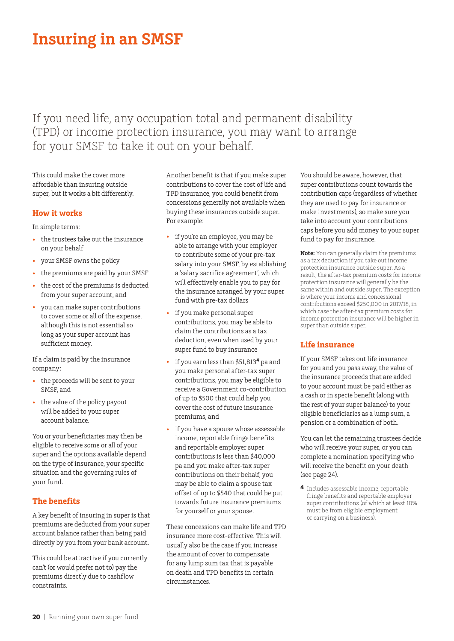# **Insuring in an SMSF**

If you need life, any occupation total and permanent disability (TPD) or income protection insurance, you may want to arrange for your SMSF to take it out on your behalf.

This could make the cover more affordable than insuring outside super, but it works a bit differently.

### **How it works**

In simple terms:

- the trustees take out the insurance on your behalf
- your SMSF owns the policy
- the premiums are paid by your SMSF
- the cost of the premiums is deducted from your super account, and
- you can make super contributions to cover some or all of the expense, although this is not essential so long as your super account has sufficient money.

If a claim is paid by the insurance company:

- the proceeds will be sent to your SMSF, and
- the value of the policy payout will be added to your super account balance.

You or your beneficiaries may then be eligible to receive some or all of your super and the options available depend on the type of insurance, your specific situation and the governing rules of your fund.

## **The benefits**

A key benefit of insuring in super is that premiums are deducted from your super account balance rather than being paid directly by you from your bank account.

This could be attractive if you currently can't (or would prefer not to) pay the premiums directly due to cashflow constraints.

Another benefit is that if you make super contributions to cover the cost of life and TPD insurance, you could benefit from concessions generally not available when buying these insurances outside super. For example:

- if you're an employee, you may be able to arrange with your employer to contribute some of your pre-tax salary into your SMSF, by establishing a 'salary sacrifice agreement', which will effectively enable you to pay for the insurance arranged by your super fund with pre-tax dollars
- if you make personal super contributions, you may be able to claim the contributions as a tax deduction, even when used by your super fund to buy insurance
- if you earn less than \$51,813**4** pa and you make personal after-tax super contributions, you may be eligible to receive a Government co-contribution of up to \$500 that could help you cover the cost of future insurance premiums, and
- if you have a spouse whose assessable income, reportable fringe benefits and reportable employer super contributions is less than \$40,000 pa and you make after-tax super contributions on their behalf, you may be able to claim a spouse tax offset of up to \$540 that could be put towards future insurance premiums for yourself or your spouse.

These concessions can make life and TPD insurance more cost-effective. This will usually also be the case if you increase the amount of cover to compensate for any lump sum tax that is payable on death and TPD benefits in certain circumstances.

You should be aware, however, that super contributions count towards the contribution caps (regardless of whether they are used to pay for insurance or make investments), so make sure you take into account your contributions caps before you add money to your super fund to pay for insurance.

**Note:** You can generally claim the premiums as a tax deduction if you take out income protection insurance outside super. As a result, the after-tax premium costs for income protection insurance will generally be the same within and outside super. The exception is where your income and concessional contributions exceed \$250,000 in 2017/18, in which case the after-tax premium costs for income protection insurance will be higher in super than outside super.

### **Life insurance**

If your SMSF takes out life insurance for you and you pass away, the value of the insurance proceeds that are added to your account must be paid either as a cash or in specie benefit (along with the rest of your super balance) to your eligible beneficiaries as a lump sum, a pension or a combination of both.

You can let the remaining trustees decide who will receive your super, or you can complete a nomination specifying who will receive the benefit on your death (see page 24).

**4** Includes assessable income, reportable fringe benefits and reportable employer super contributions (of which at least 10% must be from eligible employment or carrying on a business).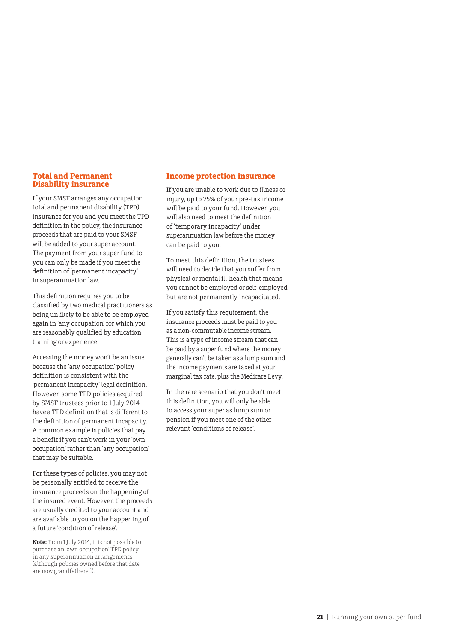#### **Total and Permanent Disability insurance**

If your SMSF arranges any occupation total and permanent disability (TPD) insurance for you and you meet the TPD definition in the policy, the insurance proceeds that are paid to your SMSF will be added to your super account. The payment from your super fund to you can only be made if you meet the definition of 'permanent incapacity' in superannuation law.

This definition requires you to be classified by two medical practitioners as being unlikely to be able to be employed again in 'any occupation' for which you are reasonably qualified by education, training or experience.

Accessing the money won't be an issue because the 'any occupation' policy definition is consistent with the 'permanent incapacity' legal definition. However, some TPD policies acquired by SMSF trustees prior to 1 July 2014 have a TPD definition that is different to the definition of permanent incapacity. A common example is policies that pay a benefit if you can't work in your 'own occupation' rather than 'any occupation' that may be suitable.

For these types of policies, you may not be personally entitled to receive the insurance proceeds on the happening of the insured event. However, the proceeds are usually credited to your account and are available to you on the happening of a future 'condition of release'.

**Note:** From 1 July 2014, it is not possible to purchase an 'own occupation' TPD policy in any superannuation arrangements (although policies owned before that date are now grandfathered).

#### **Income protection insurance**

If you are unable to work due to illness or injury, up to 75% of your pre-tax income will be paid to your fund. However, you will also need to meet the definition of 'temporary incapacity' under superannuation law before the money can be paid to you.

To meet this definition, the trustees will need to decide that you suffer from physical or mental ill-health that means you cannot be employed or self-employed but are not permanently incapacitated.

If you satisfy this requirement, the insurance proceeds must be paid to you as a non-commutable income stream. This is a type of income stream that can be paid by a super fund where the money generally can't be taken as a lump sum and the income payments are taxed at your marginal tax rate, plus the Medicare Levy.

In the rare scenario that you don't meet this definition, you will only be able to access your super as lump sum or pension if you meet one of the other relevant 'conditions of release'.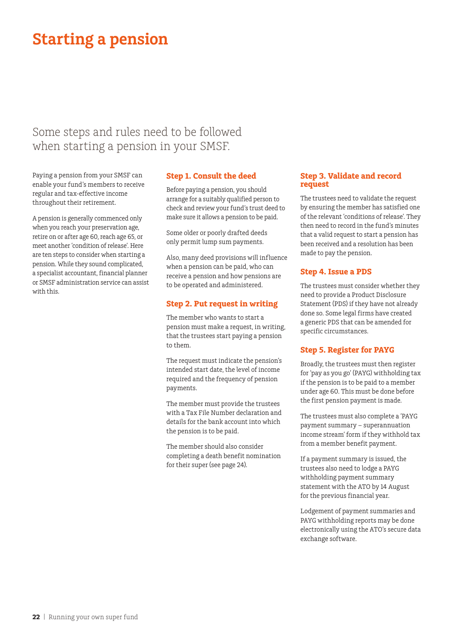# **Starting a pension**

# Some steps and rules need to be followed when starting a pension in your SMSF.

Paying a pension from your SMSF can enable your fund's members to receive regular and tax-effective income throughout their retirement.

A pension is generally commenced only when you reach your preservation age, retire on or after age 60, reach age 65, or meet another 'condition of release'. Here are ten steps to consider when starting a pension. While they sound complicated, a specialist accountant, financial planner or SMSF administration service can assist with this.

### **Step 1. Consult the deed**

Before paying a pension, you should arrange for a suitably qualified person to check and review your fund's trust deed to make sure it allows a pension to be paid.

Some older or poorly drafted deeds only permit lump sum payments.

Also, many deed provisions will influence when a pension can be paid, who can receive a pension and how pensions are to be operated and administered.

## **Step 2. Put request in writing**

The member who wants to start a pension must make a request, in writing, that the trustees start paying a pension to them.

The request must indicate the pension's intended start date, the level of income required and the frequency of pension payments.

The member must provide the trustees with a Tax File Number declaration and details for the bank account into which the pension is to be paid.

The member should also consider completing a death benefit nomination for their super (see page 24).

#### **Step 3. Validate and record request**

The trustees need to validate the request by ensuring the member has satisfied one of the relevant 'conditions of release'. They then need to record in the fund's minutes that a valid request to start a pension has been received and a resolution has been made to pay the pension.

## **Step 4. Issue a PDS**

The trustees must consider whether they need to provide a Product Disclosure Statement (PDS) if they have not already done so. Some legal firms have created a generic PDS that can be amended for specific circumstances.

### **Step 5. Register for PAYG**

Broadly, the trustees must then register for 'pay as you go' (PAYG) withholding tax if the pension is to be paid to a member under age 60. This must be done before the first pension payment is made.

The trustees must also complete a 'PAYG payment summary – superannuation income stream' form if they withhold tax from a member benefit payment.

If a payment summary is issued, the trustees also need to lodge a PAYG withholding payment summary statement with the ATO by 14 August for the previous financial year.

Lodgement of payment summaries and PAYG withholding reports may be done electronically using the ATO's secure data exchange software.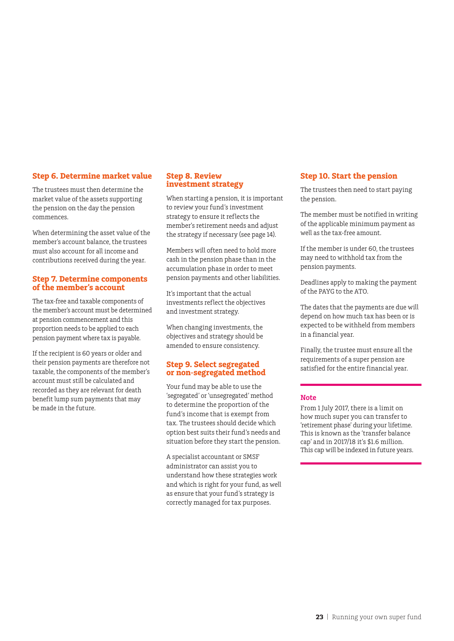#### **Step 6. Determine market value**

The trustees must then determine the market value of the assets supporting the pension on the day the pension commences.

When determining the asset value of the member's account balance, the trustees must also account for all income and contributions received during the year.

#### **Step 7. Determine components of the member's account**

The tax-free and taxable components of the member's account must be determined at pension commencement and this proportion needs to be applied to each pension payment where tax is payable.

If the recipient is 60 years or older and their pension payments are therefore not taxable, the components of the member's account must still be calculated and recorded as they are relevant for death benefit lump sum payments that may be made in the future.

#### **Step 8. Review investment strategy**

When starting a pension, it is important to review your fund's investment strategy to ensure it reflects the member's retirement needs and adjust the strategy if necessary (see page 14).

Members will often need to hold more cash in the pension phase than in the accumulation phase in order to meet pension payments and other liabilities.

It's important that the actual investments reflect the objectives and investment strategy.

When changing investments, the objectives and strategy should be amended to ensure consistency.

#### **Step 9. Select segregated or non-segregated method**

Your fund may be able to use the 'segregated' or 'unsegregated' method to determine the proportion of the fund's income that is exempt from tax. The trustees should decide which option best suits their fund's needs and situation before they start the pension.

A specialist accountant or SMSF administrator can assist you to understand how these strategies work and which is right for your fund, as well as ensure that your fund's strategy is correctly managed for tax purposes.

#### **Step 10. Start the pension**

The trustees then need to start paying the pension.

The member must be notified in writing of the applicable minimum payment as well as the tax-free amount.

If the member is under 60, the trustees may need to withhold tax from the pension payments.

Deadlines apply to making the payment of the PAYG to the ATO.

The dates that the payments are due will depend on how much tax has been or is expected to be withheld from members in a financial year.

Finally, the trustee must ensure all the requirements of a super pension are satisfied for the entire financial year.

#### **Note**

From 1 July 2017, there is a limit on how much super you can transfer to 'retirement phase' during your lifetime. This is known as the 'transfer balance cap' and in 2017/18 it's \$1.6 million. This cap will be indexed in future years.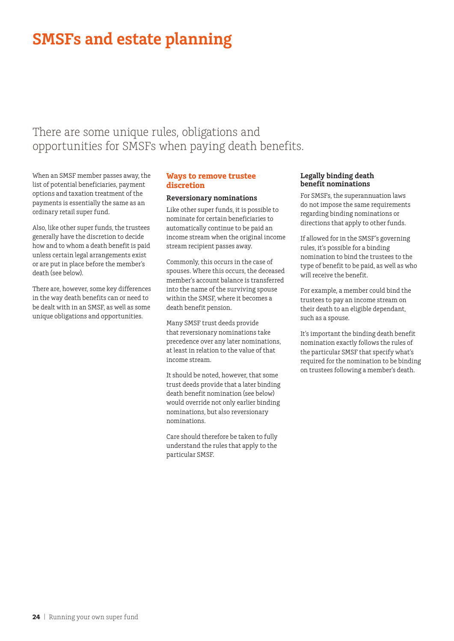# **SMSFs and estate planning**

# There are some unique rules, obligations and opportunities for SMSFs when paying death benefits.

When an SMSF member passes away, the list of potential beneficiaries, payment options and taxation treatment of the payments is essentially the same as an ordinary retail super fund.

Also, like other super funds, the trustees generally have the discretion to decide how and to whom a death benefit is paid unless certain legal arrangements exist or are put in place before the member's death (see below).

There are, however, some key differences in the way death benefits can or need to be dealt with in an SMSF, as well as some unique obligations and opportunities.

# **Ways to remove trustee discretion**

#### **Reversionary nominations**

Like other super funds, it is possible to nominate for certain beneficiaries to automatically continue to be paid an income stream when the original income stream recipient passes away.

Commonly, this occurs in the case of spouses. Where this occurs, the deceased member's account balance is transferred into the name of the surviving spouse within the SMSF, where it becomes a death benefit pension.

Many SMSF trust deeds provide that reversionary nominations take precedence over any later nominations, at least in relation to the value of that income stream.

It should be noted, however, that some trust deeds provide that a later binding death benefit nomination (see below) would override not only earlier binding nominations, but also reversionary nominations.

Care should therefore be taken to fully understand the rules that apply to the particular SMSF.

#### **Legally binding death benefit nominations**

For SMSFs, the superannuation laws do not impose the same requirements regarding binding nominations or directions that apply to other funds.

If allowed for in the SMSF's governing rules, it's possible for a binding nomination to bind the trustees to the type of benefit to be paid, as well as who will receive the benefit.

For example, a member could bind the trustees to pay an income stream on their death to an eligible dependant, such as a spouse.

It's important the binding death benefit nomination exactly follows the rules of the particular SMSF that specify what's required for the nomination to be binding on trustees following a member's death.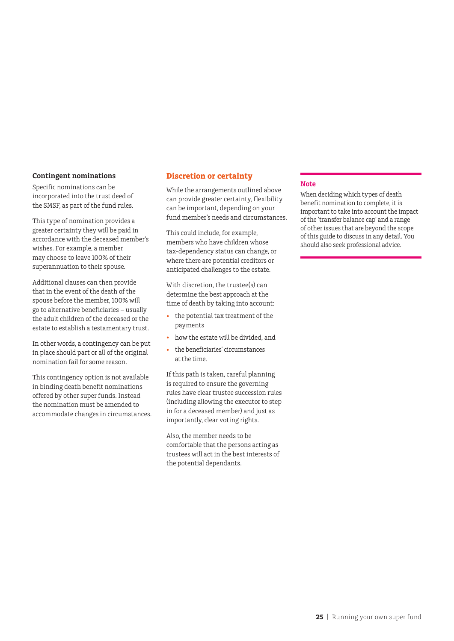#### **Contingent nominations**

Specific nominations can be incorporated into the trust deed of the SMSF, as part of the fund rules.

This type of nomination provides a greater certainty they will be paid in accordance with the deceased member's wishes. For example, a member may choose to leave 100% of their superannuation to their spouse.

Additional clauses can then provide that in the event of the death of the spouse before the member, 100% will go to alternative beneficiaries – usually the adult children of the deceased or the estate to establish a testamentary trust.

In other words, a contingency can be put in place should part or all of the original nomination fail for some reason.

This contingency option is not available in binding death benefit nominations offered by other super funds. Instead the nomination must be amended to accommodate changes in circumstances.

#### **Discretion or certainty**

While the arrangements outlined above can provide greater certainty, flexibility can be important, depending on your fund member's needs and circumstances.

This could include, for example, members who have children whose tax-dependency status can change, or where there are potential creditors or anticipated challenges to the estate.

With discretion, the trustee(s) can determine the best approach at the time of death by taking into account:

- the potential tax treatment of the payments
- how the estate will be divided, and
- the beneficiaries' circumstances at the time.

If this path is taken, careful planning is required to ensure the governing rules have clear trustee succession rules (including allowing the executor to step in for a deceased member) and just as importantly, clear voting rights.

Also, the member needs to be comfortable that the persons acting as trustees will act in the best interests of the potential dependants.

#### **Note**

When deciding which types of death benefit nomination to complete, it is important to take into account the impact of the 'transfer balance cap' and a range of other issues that are beyond the scope of this guide to discuss in any detail. You should also seek professional advice.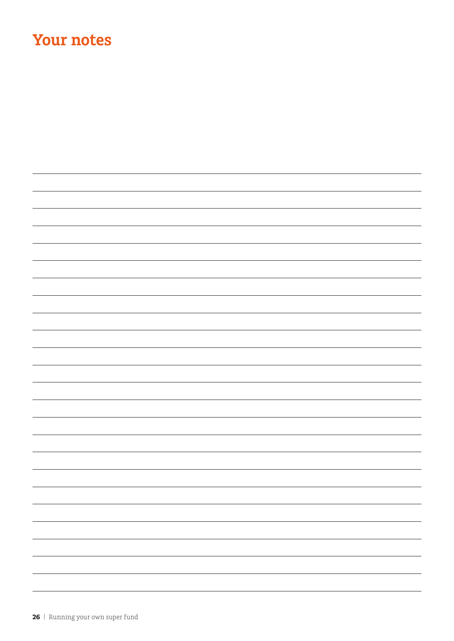# **Your notes**